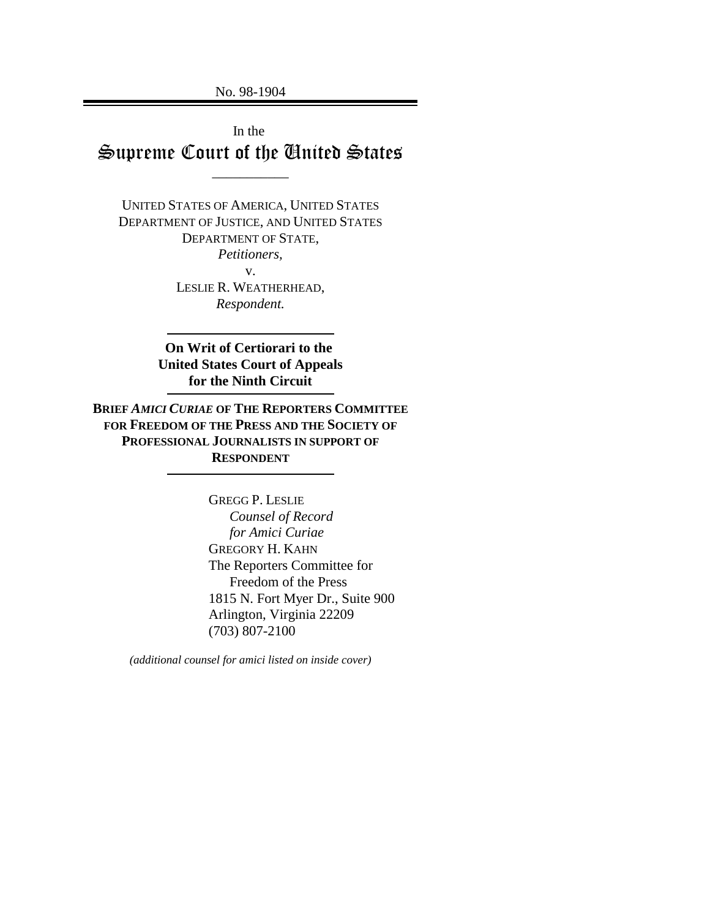No. 98-1904

In the Supreme Court of the United States

\_\_\_\_\_\_\_\_\_\_\_

UNITED STATES OF AMERICA, UNITED STATES DEPARTMENT OF JUSTICE, AND UNITED STATES DEPARTMENT OF STATE, *Petitioners,* v. LESLIE R. WEATHERHEAD, *Respondent.*

> **On Writ of Certiorari to the United States Court of Appeals for the Ninth Circuit**

**BRIEF** *AMICI CURIAE* **OF THE REPORTERS COMMITTEE FOR FREEDOM OF THE PRESS AND THE SOCIETY OF PROFESSIONAL JOURNALISTS IN SUPPORT OF RESPONDENT**

> GREGG P. LESLIE  *Counsel of Record for Amici Curiae* GREGORY H. KAHN The Reporters Committee for Freedom of the Press 1815 N. Fort Myer Dr., Suite 900 Arlington, Virginia 22209 (703) 807-2100

*(additional counsel for amici listed on inside cover)*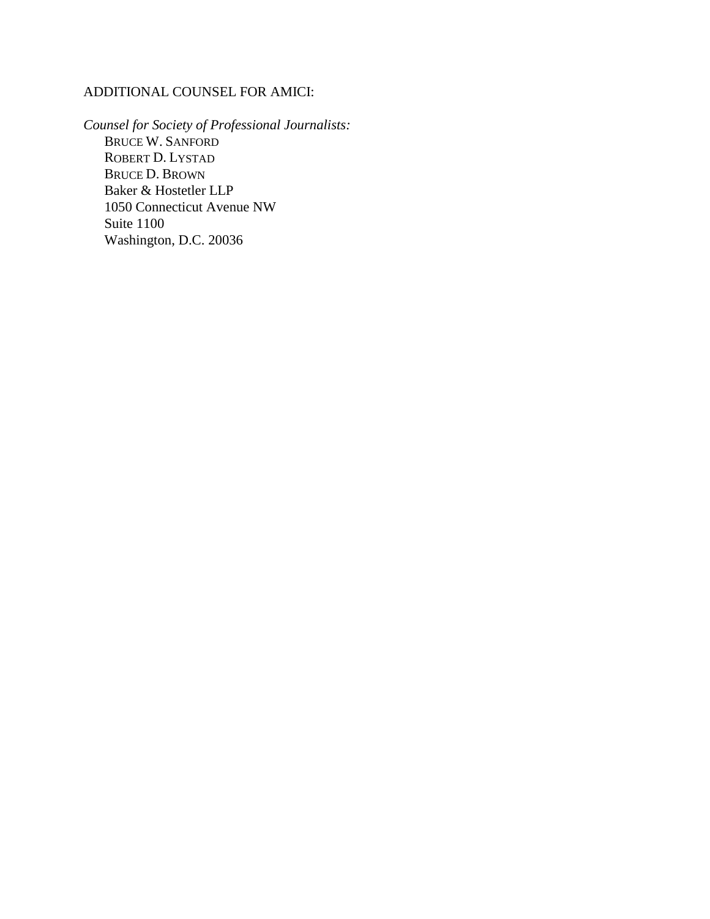## ADDITIONAL COUNSEL FOR AMICI:

*Counsel for Society of Professional Journalists:* BRUCE W. SANFORD ROBERT D. LYSTAD BRUCE D. BROWN Baker & Hostetler LLP 1050 Connecticut Avenue NW Suite 1100 Washington, D.C. 20036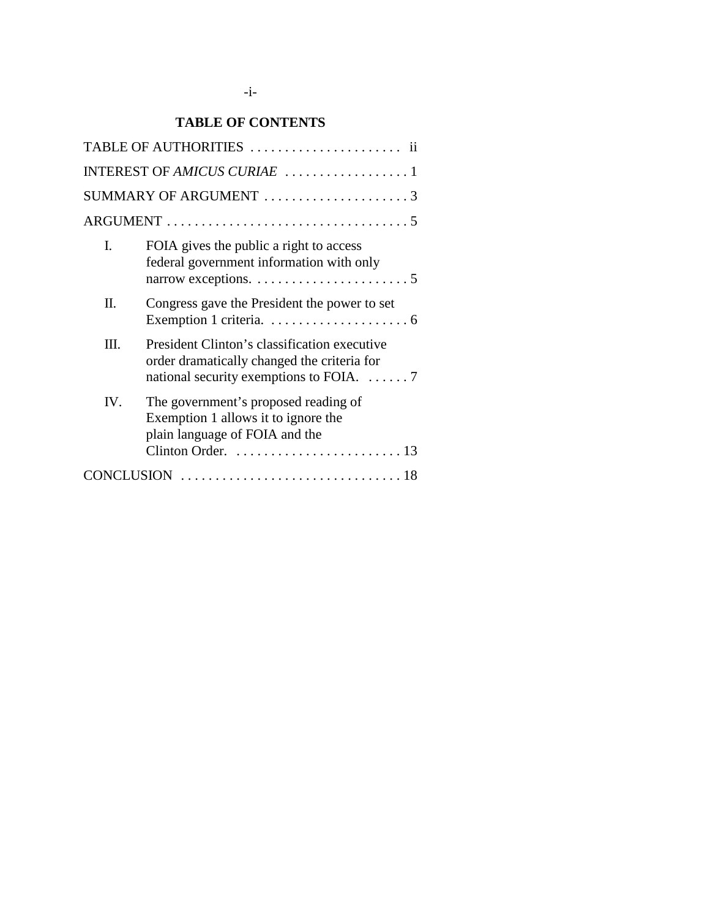## **TABLE OF CONTENTS**

|      | INTEREST OF AMICUS CURIAE 1                                                                                                                          |
|------|------------------------------------------------------------------------------------------------------------------------------------------------------|
|      | SUMMARY OF ARGUMENT 3                                                                                                                                |
|      |                                                                                                                                                      |
| I.   | FOIA gives the public a right to access<br>federal government information with only                                                                  |
| Π.   | Congress gave the President the power to set                                                                                                         |
| III. | President Clinton's classification executive<br>order dramatically changed the criteria for<br>national security exemptions to FOIA. $\dots \dots$ 7 |
| IV.  | The government's proposed reading of<br>Exemption 1 allows it to ignore the<br>plain language of FOIA and the                                        |
|      |                                                                                                                                                      |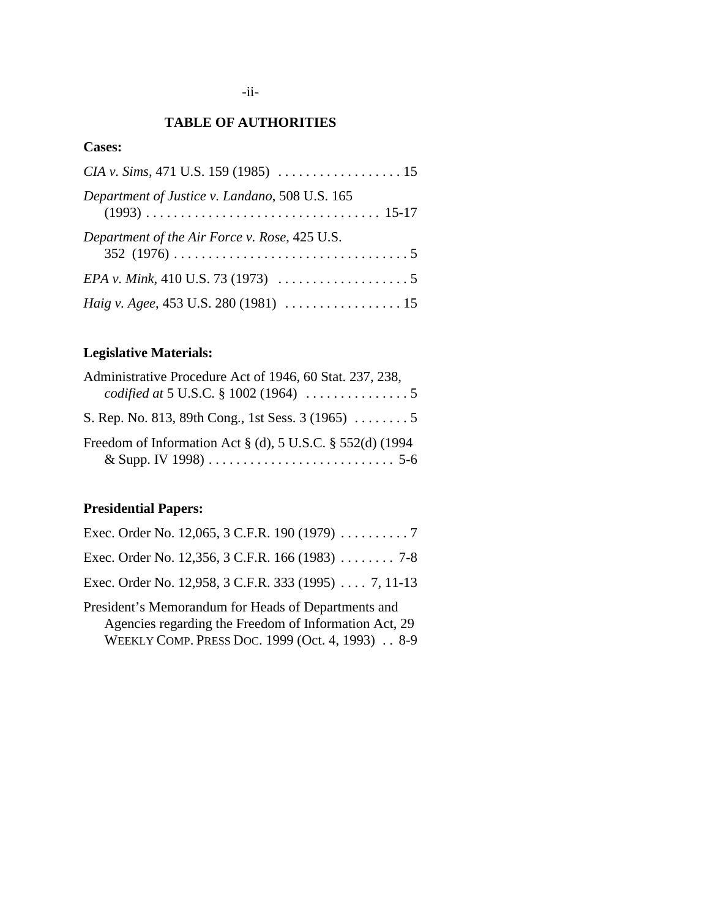## **TABLE OF AUTHORITIES**

## **Cases:**

| Department of Justice v. Landano, 508 U.S. 165                              |  |
|-----------------------------------------------------------------------------|--|
| Department of the Air Force v. Rose, 425 U.S.                               |  |
| EPA v. Mink, 410 U.S. 73 (1973) $\ldots \ldots \ldots \ldots \ldots \ldots$ |  |
|                                                                             |  |

## **Legislative Materials:**

| Administrative Procedure Act of 1946, 60 Stat. 237, 238,                  |
|---------------------------------------------------------------------------|
| <i>codified at</i> 5 U.S.C. § 1002 (1964) $\ldots \ldots \ldots \ldots 5$ |
| S. Rep. No. 813, 89th Cong., 1st Sess. 3 (1965) 5                         |
| Freedom of Information Act $\S$ (d), 5 U.S.C. $\S$ 552(d) (1994           |

# **Presidential Papers:**

| Exec. Order No. 12,065, 3 C.F.R. 190 (1979) $\ldots \ldots \ldots$ 7                                                                                            |
|-----------------------------------------------------------------------------------------------------------------------------------------------------------------|
| Exec. Order No. 12,356, 3 C.F.R. 166 (1983) $\ldots$ 7-8                                                                                                        |
| Exec. Order No. 12,958, 3 C.F.R. 333 (1995) 7, 11-13                                                                                                            |
| President's Memorandum for Heads of Departments and<br>Agencies regarding the Freedom of Information Act, 29<br>WEEKLY COMP. PRESS DOC. 1999 (Oct. 4, 1993) 8-9 |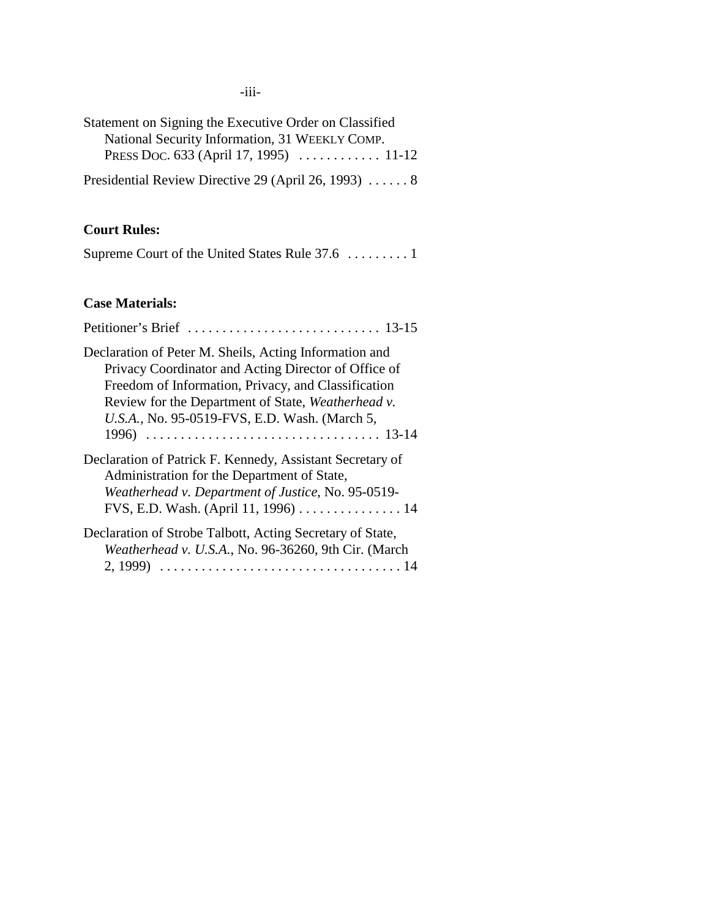-iii-

| Statement on Signing the Executive Order on Classified |  |
|--------------------------------------------------------|--|
| National Security Information, 31 WEEKLY COMP.         |  |
| PRESS Doc. 633 (April 17, 1995)  11-12                 |  |
| Presidential Review Directive 29 (April 26, 1993)  8   |  |

## **Court Rules:**

|  |  |  |  |  |  |  |  | Supreme Court of the United States Rule 37.6 1 |  |
|--|--|--|--|--|--|--|--|------------------------------------------------|--|
|--|--|--|--|--|--|--|--|------------------------------------------------|--|

## **Case Materials:**

| Declaration of Peter M. Sheils, Acting Information and<br>Privacy Coordinator and Acting Director of Office of<br>Freedom of Information, Privacy, and Classification<br>Review for the Department of State, Weatherhead v.<br>U.S.A., No. 95-0519-FVS, E.D. Wash. (March 5, |
|------------------------------------------------------------------------------------------------------------------------------------------------------------------------------------------------------------------------------------------------------------------------------|
| Declaration of Patrick F. Kennedy, Assistant Secretary of<br>Administration for the Department of State,<br>Weatherhead v. Department of Justice, No. 95-0519-<br>FVS, E.D. Wash. (April 11, 1996) 14                                                                        |
| Declaration of Strobe Talbott, Acting Secretary of State,<br>Weatherhead v. U.S.A., No. 96-36260, 9th Cir. (March<br>2, 1999)                                                                                                                                                |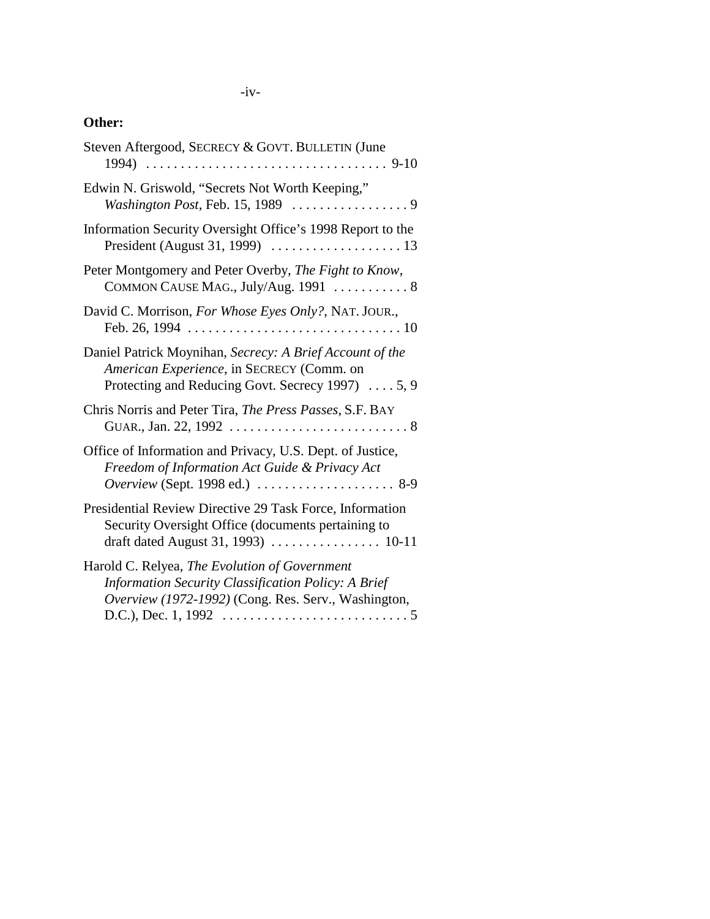## -iv-

## **Other:**

| Steven Aftergood, SECRECY & GOVT. BULLETIN (June                                                                                                                                                                                                                  |
|-------------------------------------------------------------------------------------------------------------------------------------------------------------------------------------------------------------------------------------------------------------------|
| Edwin N. Griswold, "Secrets Not Worth Keeping,"                                                                                                                                                                                                                   |
| Information Security Oversight Office's 1998 Report to the                                                                                                                                                                                                        |
| Peter Montgomery and Peter Overby, The Fight to Know,<br>COMMON CAUSE MAG., July/Aug. 1991  8                                                                                                                                                                     |
| David C. Morrison, For Whose Eyes Only?, NAT. JOUR.,                                                                                                                                                                                                              |
| Daniel Patrick Moynihan, Secrecy: A Brief Account of the<br>American Experience, in SECRECY (Comm. on<br>Protecting and Reducing Govt. Secrecy 1997)  5, 9                                                                                                        |
| Chris Norris and Peter Tira, The Press Passes, S.F. BAY                                                                                                                                                                                                           |
| Office of Information and Privacy, U.S. Dept. of Justice,<br>Freedom of Information Act Guide & Privacy Act<br>Overview (Sept. 1998 ed.)  8-9                                                                                                                     |
| Presidential Review Directive 29 Task Force, Information<br>Security Oversight Office (documents pertaining to                                                                                                                                                    |
| Harold C. Relyea, The Evolution of Government<br><b>Information Security Classification Policy: A Brief</b><br>Overview (1972-1992) (Cong. Res. Serv., Washington,<br>D.C.), Dec. 1, 1992 $\ldots \ldots \ldots \ldots \ldots \ldots \ldots \ldots \ldots \ldots$ |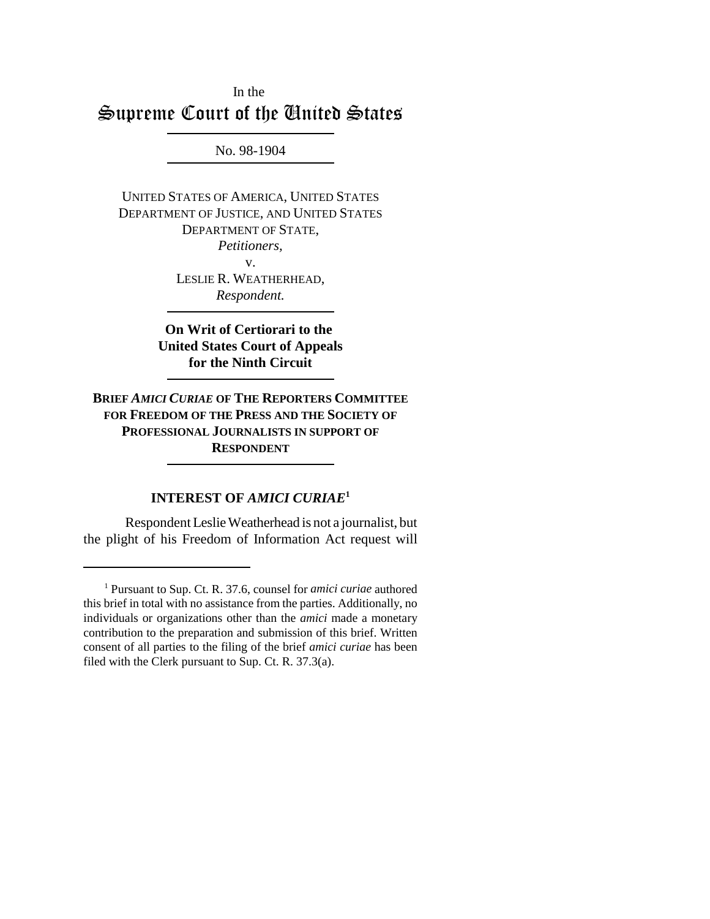# In the Supreme Court of the United States

No. 98-1904

UNITED STATES OF AMERICA, UNITED STATES DEPARTMENT OF JUSTICE, AND UNITED STATES DEPARTMENT OF STATE, *Petitioners,* v. LESLIE R. WEATHERHEAD, *Respondent.*

> **On Writ of Certiorari to the United States Court of Appeals for the Ninth Circuit**

**BRIEF** *AMICI CURIAE* **OF THE REPORTERS COMMITTEE FOR FREEDOM OF THE PRESS AND THE SOCIETY OF PROFESSIONAL JOURNALISTS IN SUPPORT OF RESPONDENT**

## **INTEREST OF** *AMICI CURIAE***<sup>1</sup>**

Respondent Leslie Weatherhead is not a journalist, but the plight of his Freedom of Information Act request will

<sup>1</sup> Pursuant to Sup. Ct. R. 37.6, counsel for *amici curiae* authored this brief in total with no assistance from the parties. Additionally, no individuals or organizations other than the *amici* made a monetary contribution to the preparation and submission of this brief. Written consent of all parties to the filing of the brief *amici curiae* has been filed with the Clerk pursuant to Sup. Ct. R. 37.3(a).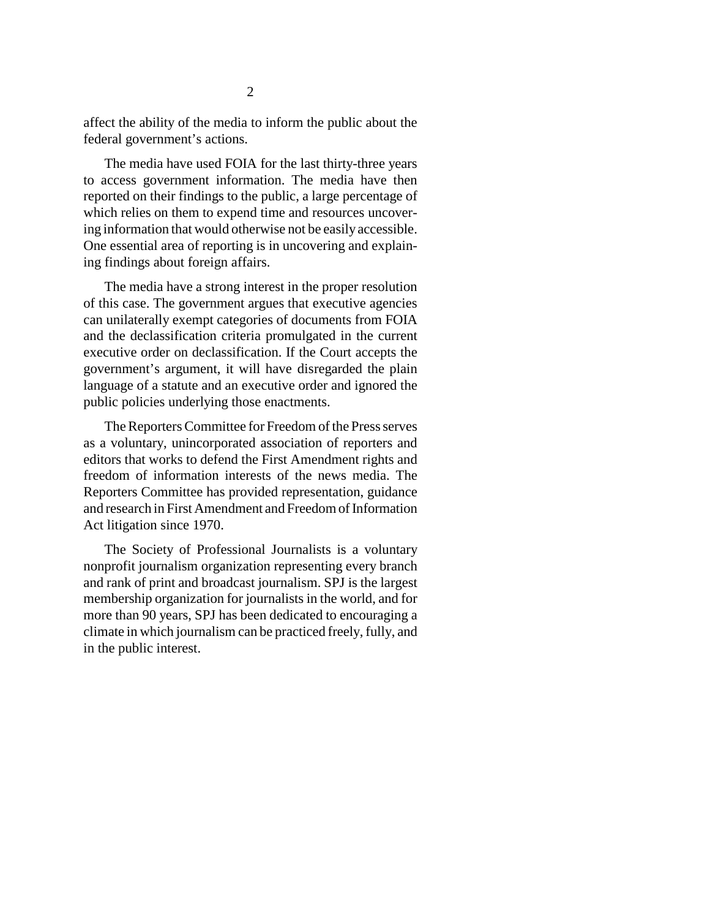affect the ability of the media to inform the public about the federal government's actions.

The media have used FOIA for the last thirty-three years to access government information. The media have then reported on their findings to the public, a large percentage of which relies on them to expend time and resources uncovering information that would otherwise not be easily accessible. One essential area of reporting is in uncovering and explaining findings about foreign affairs.

The media have a strong interest in the proper resolution of this case. The government argues that executive agencies can unilaterally exempt categories of documents from FOIA and the declassification criteria promulgated in the current executive order on declassification. If the Court accepts the government's argument, it will have disregarded the plain language of a statute and an executive order and ignored the public policies underlying those enactments.

The Reporters Committee for Freedom of the Press serves as a voluntary, unincorporated association of reporters and editors that works to defend the First Amendment rights and freedom of information interests of the news media. The Reporters Committee has provided representation, guidance and research in First Amendment and Freedom of Information Act litigation since 1970.

The Society of Professional Journalists is a voluntary nonprofit journalism organization representing every branch and rank of print and broadcast journalism. SPJ is the largest membership organization for journalists in the world, and for more than 90 years, SPJ has been dedicated to encouraging a climate in which journalism can be practiced freely, fully, and in the public interest.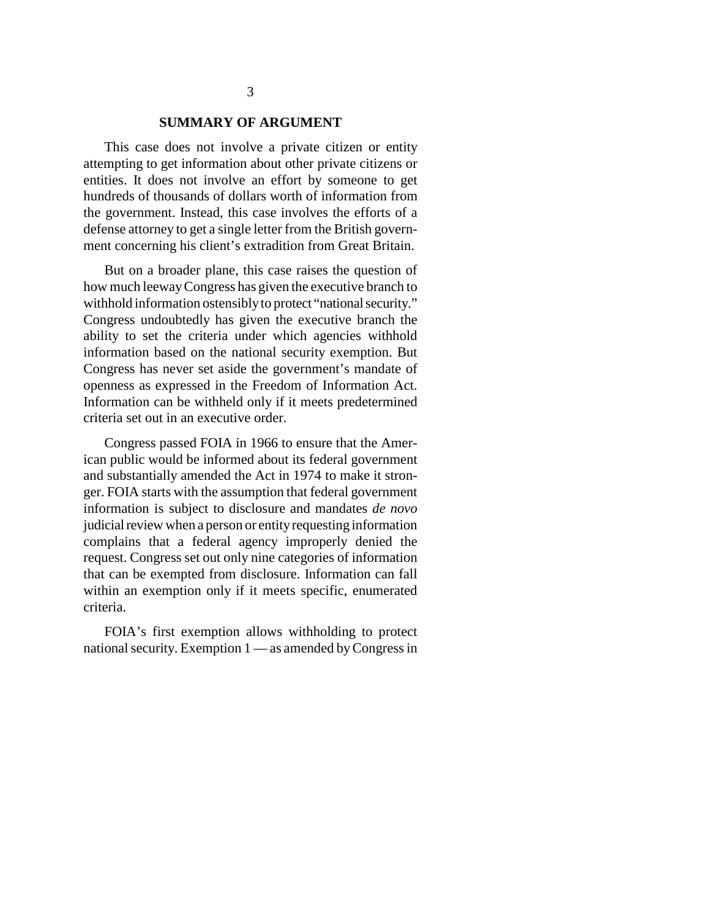#### **SUMMARY OF ARGUMENT**

This case does not involve a private citizen or entity attempting to get information about other private citizens or entities. It does not involve an effort by someone to get hundreds of thousands of dollars worth of information from the government. Instead, this case involves the efforts of a defense attorney to get a single letter from the British government concerning his client's extradition from Great Britain.

But on a broader plane, this case raises the question of how much leeway Congress has given the executive branch to withhold information ostensibly to protect "national security." Congress undoubtedly has given the executive branch the ability to set the criteria under which agencies withhold information based on the national security exemption. But Congress has never set aside the government's mandate of openness as expressed in the Freedom of Information Act. Information can be withheld only if it meets predetermined criteria set out in an executive order.

Congress passed FOIA in 1966 to ensure that the American public would be informed about its federal government and substantially amended the Act in 1974 to make it stronger. FOIA starts with the assumption that federal government information is subject to disclosure and mandates *de novo* judicial review when a person or entity requesting information complains that a federal agency improperly denied the request. Congress set out only nine categories of information that can be exempted from disclosure. Information can fall within an exemption only if it meets specific, enumerated criteria.

FOIA's first exemption allows withholding to protect national security. Exemption 1 — as amended by Congress in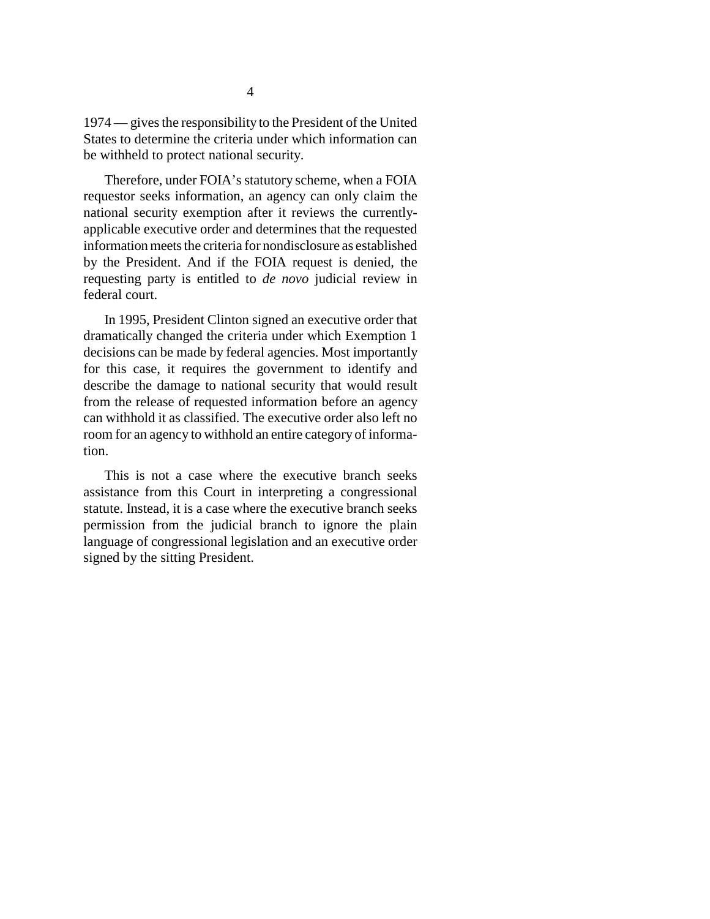1974 — gives the responsibility to the President of the United States to determine the criteria under which information can be withheld to protect national security.

Therefore, under FOIA's statutory scheme, when a FOIA requestor seeks information, an agency can only claim the national security exemption after it reviews the currentlyapplicable executive order and determines that the requested information meets the criteria for nondisclosure as established by the President. And if the FOIA request is denied, the requesting party is entitled to *de novo* judicial review in federal court.

In 1995, President Clinton signed an executive order that dramatically changed the criteria under which Exemption 1 decisions can be made by federal agencies. Most importantly for this case, it requires the government to identify and describe the damage to national security that would result from the release of requested information before an agency can withhold it as classified. The executive order also left no room for an agency to withhold an entire category of information.

This is not a case where the executive branch seeks assistance from this Court in interpreting a congressional statute. Instead, it is a case where the executive branch seeks permission from the judicial branch to ignore the plain language of congressional legislation and an executive order signed by the sitting President.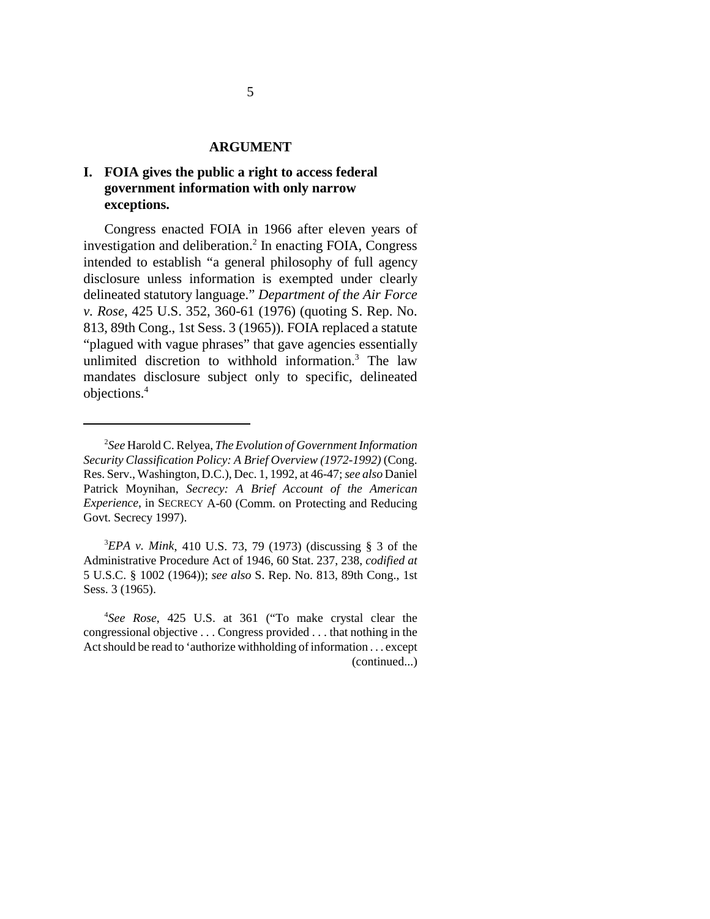#### **ARGUMENT**

## **I. FOIA gives the public a right to access federal government information with only narrow exceptions.**

Congress enacted FOIA in 1966 after eleven years of investigation and deliberation.<sup>2</sup> In enacting FOIA, Congress intended to establish "a general philosophy of full agency disclosure unless information is exempted under clearly delineated statutory language." *Department of the Air Force v. Rose*, 425 U.S. 352, 360-61 (1976) (quoting S. Rep. No. 813, 89th Cong., 1st Sess. 3 (1965)). FOIA replaced a statute "plagued with vague phrases" that gave agencies essentially unlimited discretion to withhold information.3 The law mandates disclosure subject only to specific, delineated objections.4

3 *EPA v. Mink*, 410 U.S. 73, 79 (1973) (discussing § 3 of the Administrative Procedure Act of 1946, 60 Stat. 237, 238, *codified at* 5 U.S.C. § 1002 (1964)); *see also* S. Rep. No. 813, 89th Cong., 1st Sess. 3 (1965).

<sup>2</sup> *See* Harold C. Relyea, *The Evolution of Government Information Security Classification Policy: A Brief Overview (1972-1992)* (Cong. Res. Serv., Washington, D.C.), Dec. 1, 1992, at 46-47; *see also* Daniel Patrick Moynihan, *Secrecy: A Brief Account of the American Experience*, in SECRECY A-60 (Comm. on Protecting and Reducing Govt. Secrecy 1997).

<sup>4</sup> *See Rose*, 425 U.S. at 361 ("To make crystal clear the congressional objective . . . Congress provided . . . that nothing in the Act should be read to 'authorize withholding of information . . . except (continued...)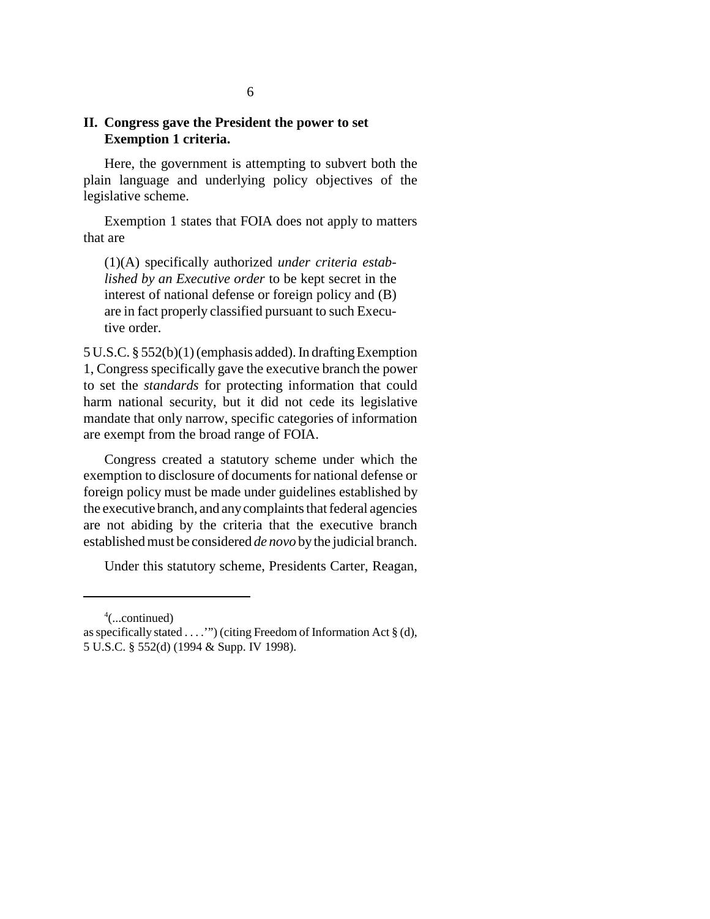### **II. Congress gave the President the power to set Exemption 1 criteria.**

Here, the government is attempting to subvert both the plain language and underlying policy objectives of the legislative scheme.

Exemption 1 states that FOIA does not apply to matters that are

(1)(A) specifically authorized *under criteria established by an Executive order* to be kept secret in the interest of national defense or foreign policy and (B) are in fact properly classified pursuant to such Executive order.

5 U.S.C. § 552(b)(1) (emphasis added). In drafting Exemption 1, Congress specifically gave the executive branch the power to set the *standards* for protecting information that could harm national security, but it did not cede its legislative mandate that only narrow, specific categories of information are exempt from the broad range of FOIA.

Congress created a statutory scheme under which the exemption to disclosure of documents for national defense or foreign policy must be made under guidelines established by the executive branch, and any complaints that federal agencies are not abiding by the criteria that the executive branch established must be considered *de novo* by the judicial branch.

Under this statutory scheme, Presidents Carter, Reagan,

 $4$ (...continued)

as specifically stated . . . .'") (citing Freedom of Information Act § (d), 5 U.S.C. § 552(d) (1994 & Supp. IV 1998).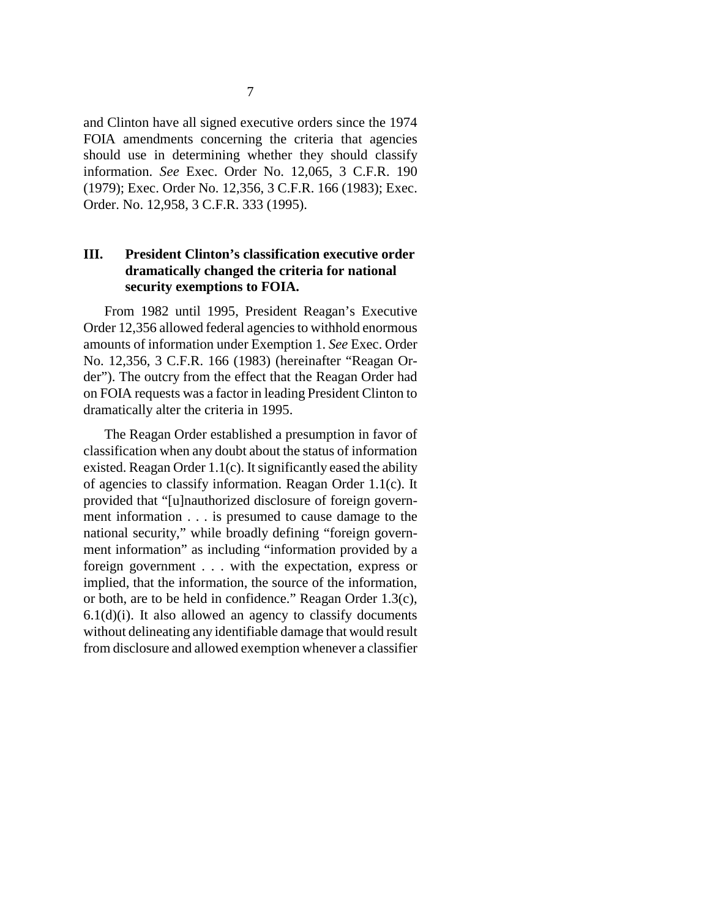and Clinton have all signed executive orders since the 1974 FOIA amendments concerning the criteria that agencies should use in determining whether they should classify information. *See* Exec. Order No. 12,065, 3 C.F.R. 190 (1979); Exec. Order No. 12,356, 3 C.F.R. 166 (1983); Exec. Order. No. 12,958, 3 C.F.R. 333 (1995).

### **III. President Clinton's classification executive order dramatically changed the criteria for national security exemptions to FOIA.**

From 1982 until 1995, President Reagan's Executive Order 12,356 allowed federal agencies to withhold enormous amounts of information under Exemption 1. *See* Exec. Order No. 12,356, 3 C.F.R. 166 (1983) (hereinafter "Reagan Order"). The outcry from the effect that the Reagan Order had on FOIA requests was a factor in leading President Clinton to dramatically alter the criteria in 1995.

The Reagan Order established a presumption in favor of classification when any doubt about the status of information existed. Reagan Order 1.1(c). It significantly eased the ability of agencies to classify information. Reagan Order 1.1(c). It provided that "[u]nauthorized disclosure of foreign government information . . . is presumed to cause damage to the national security," while broadly defining "foreign government information" as including "information provided by a foreign government . . . with the expectation, express or implied, that the information, the source of the information, or both, are to be held in confidence." Reagan Order 1.3(c),  $6.1(d)(i)$ . It also allowed an agency to classify documents without delineating any identifiable damage that would result from disclosure and allowed exemption whenever a classifier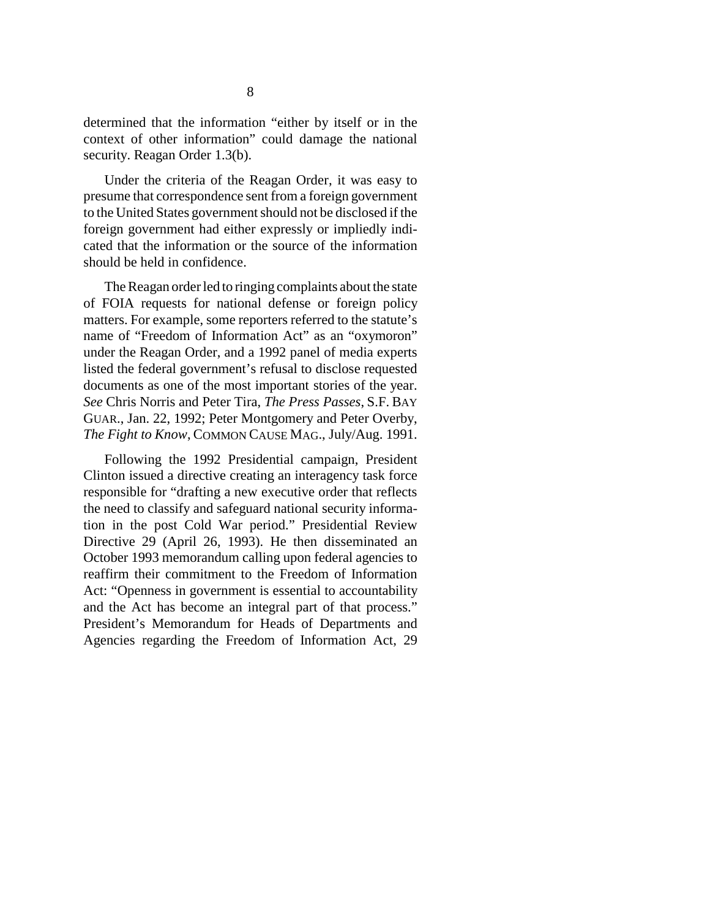determined that the information "either by itself or in the context of other information" could damage the national security. Reagan Order 1.3(b).

Under the criteria of the Reagan Order, it was easy to presume that correspondence sent from a foreign government to the United States government should not be disclosed if the foreign government had either expressly or impliedly indicated that the information or the source of the information should be held in confidence.

The Reagan order led to ringing complaints about the state of FOIA requests for national defense or foreign policy matters. For example, some reporters referred to the statute's name of "Freedom of Information Act" as an "oxymoron" under the Reagan Order, and a 1992 panel of media experts listed the federal government's refusal to disclose requested documents as one of the most important stories of the year. *See* Chris Norris and Peter Tira, *The Press Passes*, S.F. BAY GUAR., Jan. 22, 1992; Peter Montgomery and Peter Overby, *The Fight to Know*, COMMON CAUSE MAG., July/Aug. 1991.

Following the 1992 Presidential campaign, President Clinton issued a directive creating an interagency task force responsible for "drafting a new executive order that reflects the need to classify and safeguard national security information in the post Cold War period." Presidential Review Directive 29 (April 26, 1993). He then disseminated an October 1993 memorandum calling upon federal agencies to reaffirm their commitment to the Freedom of Information Act: "Openness in government is essential to accountability and the Act has become an integral part of that process." President's Memorandum for Heads of Departments and Agencies regarding the Freedom of Information Act, 29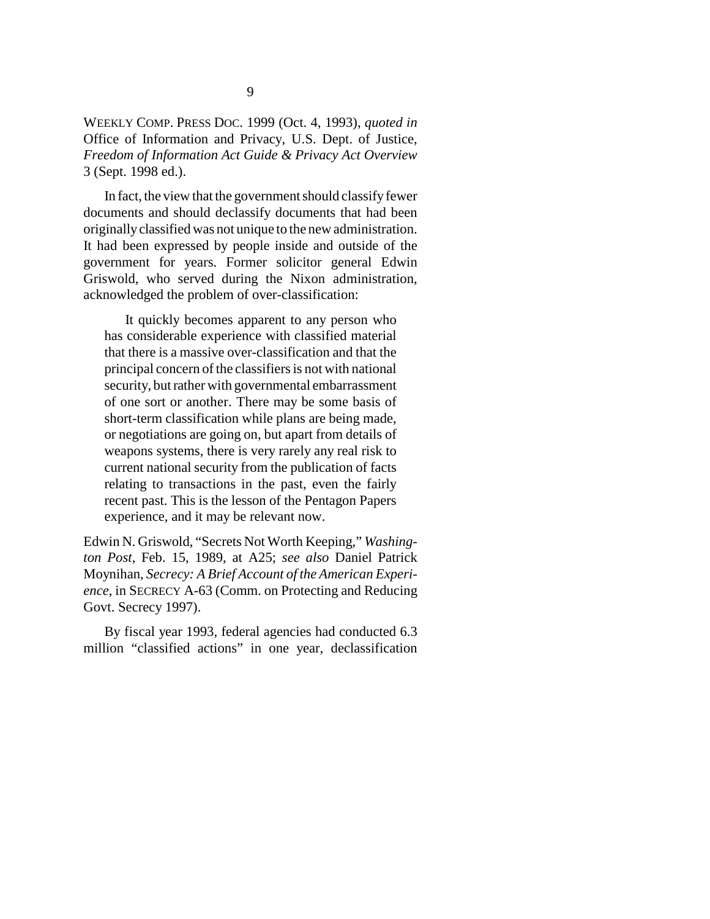WEEKLY COMP. PRESS DOC. 1999 (Oct. 4, 1993), *quoted in* Office of Information and Privacy, U.S. Dept. of Justice, *Freedom of Information Act Guide & Privacy Act Overview* 3 (Sept. 1998 ed.).

In fact, the view that the government should classify fewer documents and should declassify documents that had been originally classified was not unique to the new administration. It had been expressed by people inside and outside of the government for years. Former solicitor general Edwin Griswold, who served during the Nixon administration, acknowledged the problem of over-classification:

It quickly becomes apparent to any person who has considerable experience with classified material that there is a massive over-classification and that the principal concern of the classifiers is not with national security, but rather with governmental embarrassment of one sort or another. There may be some basis of short-term classification while plans are being made, or negotiations are going on, but apart from details of weapons systems, there is very rarely any real risk to current national security from the publication of facts relating to transactions in the past, even the fairly recent past. This is the lesson of the Pentagon Papers experience, and it may be relevant now.

Edwin N. Griswold, "Secrets Not Worth Keeping," *Washington Post*, Feb. 15, 1989, at A25; *see also* Daniel Patrick Moynihan, *Secrecy: A Brief Account of the American Experience*, in SECRECY A-63 (Comm. on Protecting and Reducing Govt. Secrecy 1997).

By fiscal year 1993, federal agencies had conducted 6.3 million "classified actions" in one year, declassification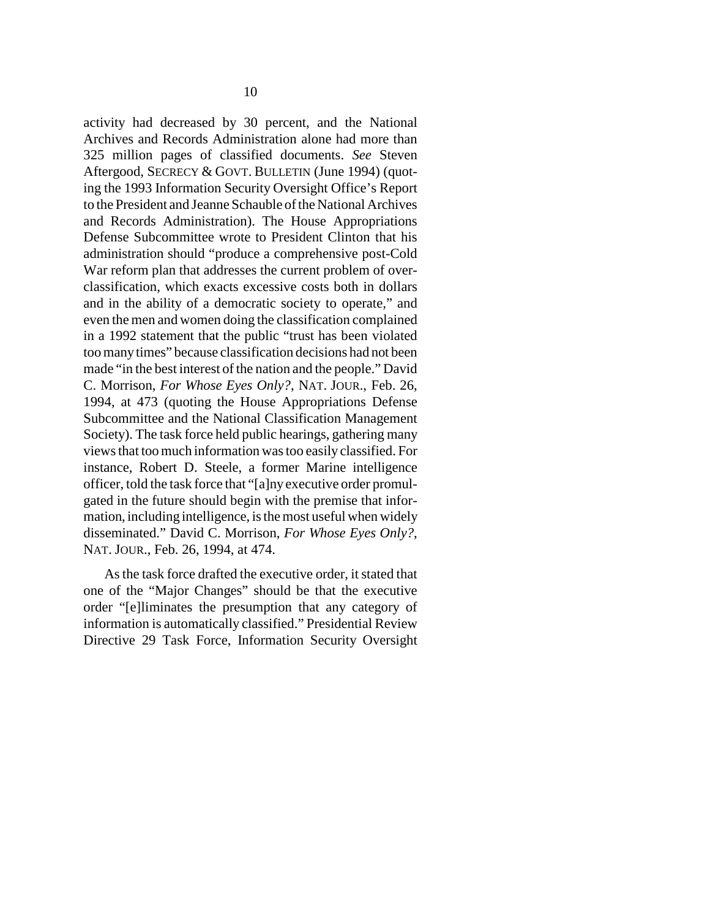activity had decreased by 30 percent, and the National Archives and Records Administration alone had more than 325 million pages of classified documents. *See* Steven Aftergood, SECRECY & GOVT. BULLETIN (June 1994) (quoting the 1993 Information Security Oversight Office's Report to the President and Jeanne Schauble of the National Archives and Records Administration). The House Appropriations Defense Subcommittee wrote to President Clinton that his administration should "produce a comprehensive post-Cold War reform plan that addresses the current problem of overclassification, which exacts excessive costs both in dollars and in the ability of a democratic society to operate," and even the men and women doing the classification complained in a 1992 statement that the public "trust has been violated too many times" because classification decisions had not been made "in the best interest of the nation and the people." David C. Morrison, *For Whose Eyes Only?*, NAT. JOUR., Feb. 26, 1994, at 473 (quoting the House Appropriations Defense Subcommittee and the National Classification Management Society). The task force held public hearings, gathering many views that too much information was too easily classified. For instance, Robert D. Steele, a former Marine intelligence officer, told the task force that "[a]ny executive order promulgated in the future should begin with the premise that information, including intelligence, is the most useful when widely disseminated." David C. Morrison, *For Whose Eyes Only?*, NAT. JOUR., Feb. 26, 1994, at 474.

As the task force drafted the executive order, it stated that one of the "Major Changes" should be that the executive order "[e]liminates the presumption that any category of information is automatically classified." Presidential Review Directive 29 Task Force, Information Security Oversight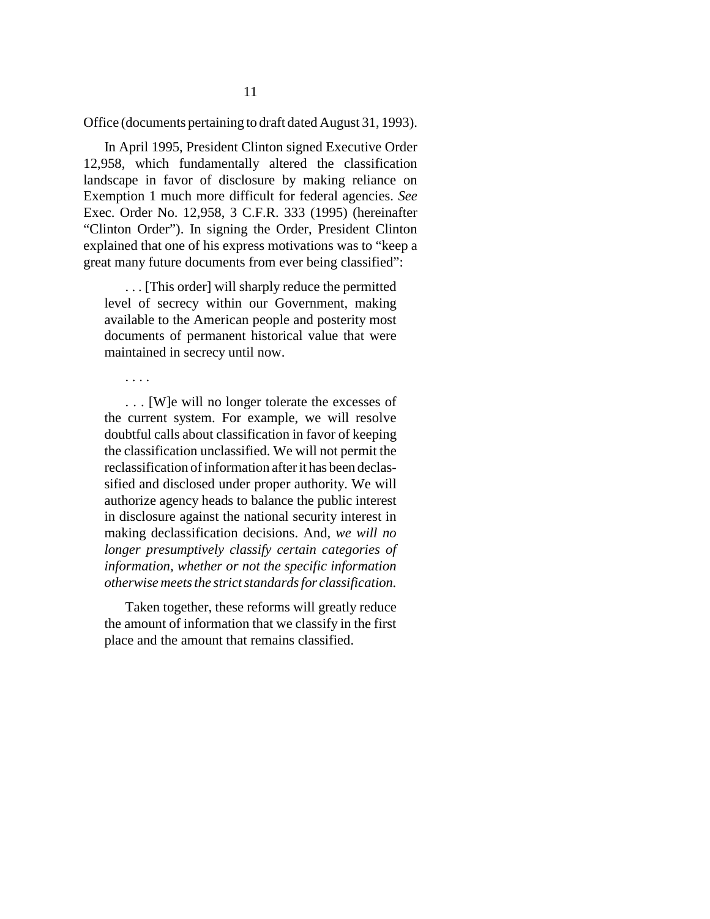Office (documents pertaining to draft dated August 31, 1993).

In April 1995, President Clinton signed Executive Order 12,958, which fundamentally altered the classification landscape in favor of disclosure by making reliance on Exemption 1 much more difficult for federal agencies. *See* Exec. Order No. 12,958, 3 C.F.R. 333 (1995) (hereinafter "Clinton Order"). In signing the Order, President Clinton explained that one of his express motivations was to "keep a great many future documents from ever being classified":

. . . [This order] will sharply reduce the permitted level of secrecy within our Government, making available to the American people and posterity most documents of permanent historical value that were maintained in secrecy until now.

. . . .

. . . [W]e will no longer tolerate the excesses of the current system. For example, we will resolve doubtful calls about classification in favor of keeping the classification unclassified. We will not permit the reclassification of information after it has been declassified and disclosed under proper authority. We will authorize agency heads to balance the public interest in disclosure against the national security interest in making declassification decisions. And, *we will no longer presumptively classify certain categories of information, whether or not the specific information otherwise meets the strict standards for classification.*

Taken together, these reforms will greatly reduce the amount of information that we classify in the first place and the amount that remains classified.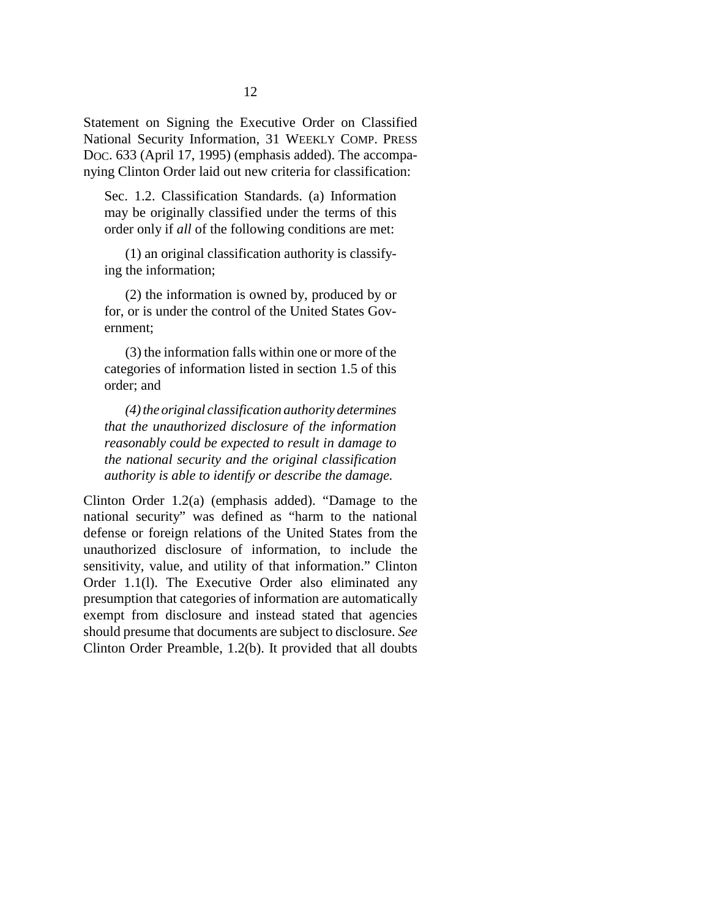Statement on Signing the Executive Order on Classified National Security Information, 31 WEEKLY COMP. PRESS DOC. 633 (April 17, 1995) (emphasis added). The accompanying Clinton Order laid out new criteria for classification:

Sec. 1.2. Classification Standards. (a) Information may be originally classified under the terms of this order only if *all* of the following conditions are met:

(1) an original classification authority is classifying the information;

(2) the information is owned by, produced by or for, or is under the control of the United States Government;

(3) the information falls within one or more of the categories of information listed in section 1.5 of this order; and

*(4) the original classification authority determines that the unauthorized disclosure of the information reasonably could be expected to result in damage to the national security and the original classification authority is able to identify or describe the damage.*

Clinton Order 1.2(a) (emphasis added). "Damage to the national security" was defined as "harm to the national defense or foreign relations of the United States from the unauthorized disclosure of information, to include the sensitivity, value, and utility of that information." Clinton Order 1.1(l). The Executive Order also eliminated any presumption that categories of information are automatically exempt from disclosure and instead stated that agencies should presume that documents are subject to disclosure. *See* Clinton Order Preamble, 1.2(b). It provided that all doubts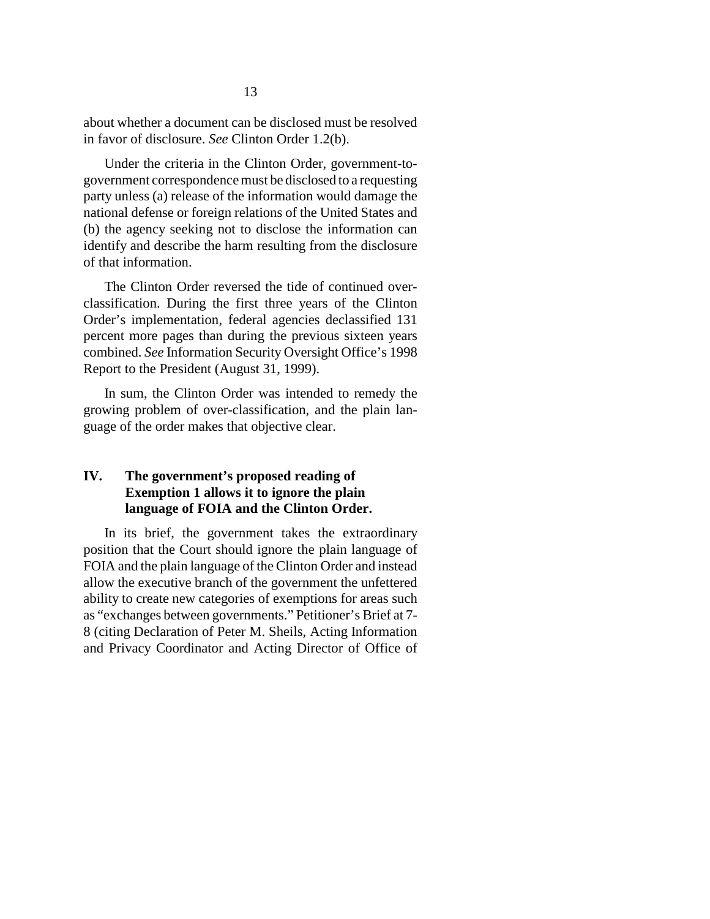about whether a document can be disclosed must be resolved in favor of disclosure. *See* Clinton Order 1.2(b).

Under the criteria in the Clinton Order, government-togovernment correspondence must be disclosed to a requesting party unless (a) release of the information would damage the national defense or foreign relations of the United States and (b) the agency seeking not to disclose the information can identify and describe the harm resulting from the disclosure of that information.

The Clinton Order reversed the tide of continued overclassification. During the first three years of the Clinton Order's implementation, federal agencies declassified 131 percent more pages than during the previous sixteen years combined. *See* Information Security Oversight Office's 1998 Report to the President (August 31, 1999).

In sum, the Clinton Order was intended to remedy the growing problem of over-classification, and the plain language of the order makes that objective clear.

### **IV. The government's proposed reading of Exemption 1 allows it to ignore the plain language of FOIA and the Clinton Order.**

In its brief, the government takes the extraordinary position that the Court should ignore the plain language of FOIA and the plain language of the Clinton Order and instead allow the executive branch of the government the unfettered ability to create new categories of exemptions for areas such as "exchanges between governments." Petitioner's Brief at 7- 8 (citing Declaration of Peter M. Sheils, Acting Information and Privacy Coordinator and Acting Director of Office of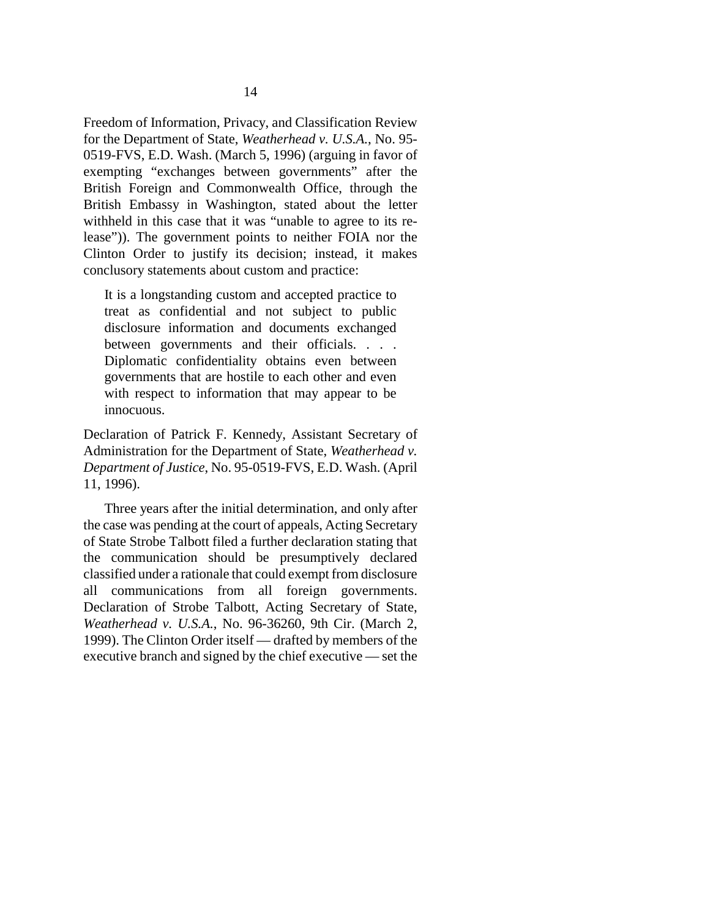Freedom of Information, Privacy, and Classification Review for the Department of State, *Weatherhead v. U.S.A.*, No. 95- 0519-FVS, E.D. Wash. (March 5, 1996) (arguing in favor of exempting "exchanges between governments" after the British Foreign and Commonwealth Office, through the British Embassy in Washington, stated about the letter withheld in this case that it was "unable to agree to its release")). The government points to neither FOIA nor the Clinton Order to justify its decision; instead, it makes conclusory statements about custom and practice:

It is a longstanding custom and accepted practice to treat as confidential and not subject to public disclosure information and documents exchanged between governments and their officials. . . . Diplomatic confidentiality obtains even between governments that are hostile to each other and even with respect to information that may appear to be innocuous.

Declaration of Patrick F. Kennedy, Assistant Secretary of Administration for the Department of State, *Weatherhead v. Department of Justice*, No. 95-0519-FVS, E.D. Wash. (April 11, 1996).

Three years after the initial determination, and only after the case was pending at the court of appeals, Acting Secretary of State Strobe Talbott filed a further declaration stating that the communication should be presumptively declared classified under a rationale that could exempt from disclosure all communications from all foreign governments. Declaration of Strobe Talbott, Acting Secretary of State, *Weatherhead v. U.S.A.*, No. 96-36260, 9th Cir. (March 2, 1999). The Clinton Order itself — drafted by members of the executive branch and signed by the chief executive — set the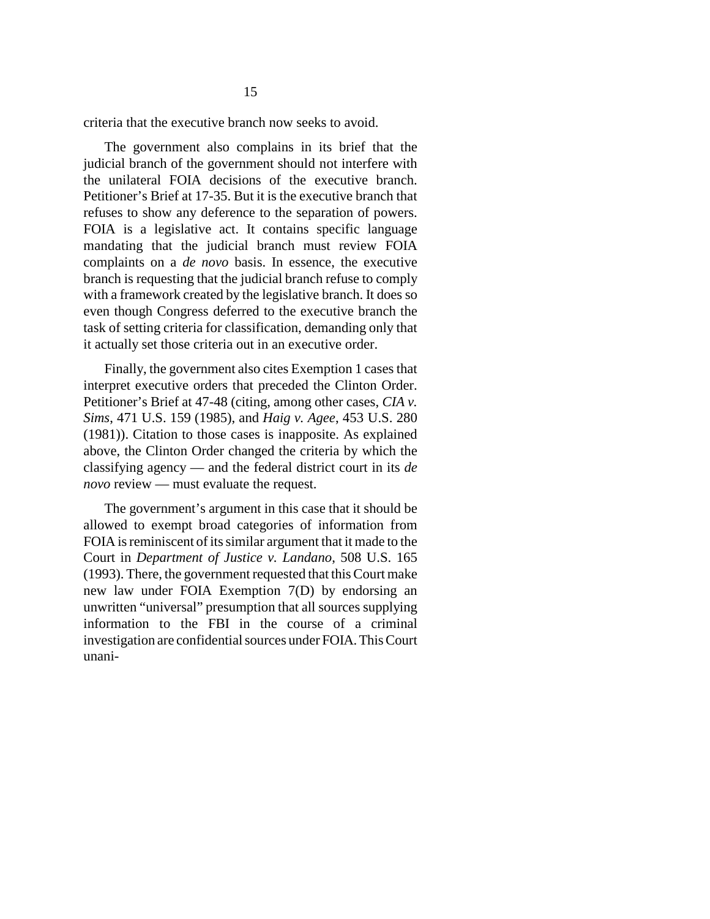criteria that the executive branch now seeks to avoid.

The government also complains in its brief that the judicial branch of the government should not interfere with the unilateral FOIA decisions of the executive branch. Petitioner's Brief at 17-35. But it is the executive branch that refuses to show any deference to the separation of powers. FOIA is a legislative act. It contains specific language mandating that the judicial branch must review FOIA complaints on a *de novo* basis. In essence, the executive branch is requesting that the judicial branch refuse to comply with a framework created by the legislative branch. It does so even though Congress deferred to the executive branch the task of setting criteria for classification, demanding only that it actually set those criteria out in an executive order.

Finally, the government also cites Exemption 1 cases that interpret executive orders that preceded the Clinton Order. Petitioner's Brief at 47-48 (citing, among other cases, *CIA v. Sims*, 471 U.S. 159 (1985), and *Haig v. Agee*, 453 U.S. 280 (1981)). Citation to those cases is inapposite. As explained above, the Clinton Order changed the criteria by which the classifying agency — and the federal district court in its *de novo* review — must evaluate the request.

The government's argument in this case that it should be allowed to exempt broad categories of information from FOIA is reminiscent of its similar argument that it made to the Court in *Department of Justice v. Landano*, 508 U.S. 165 (1993). There, the government requested that this Court make new law under FOIA Exemption 7(D) by endorsing an unwritten "universal" presumption that all sources supplying information to the FBI in the course of a criminal investigation are confidential sources under FOIA. This Court unani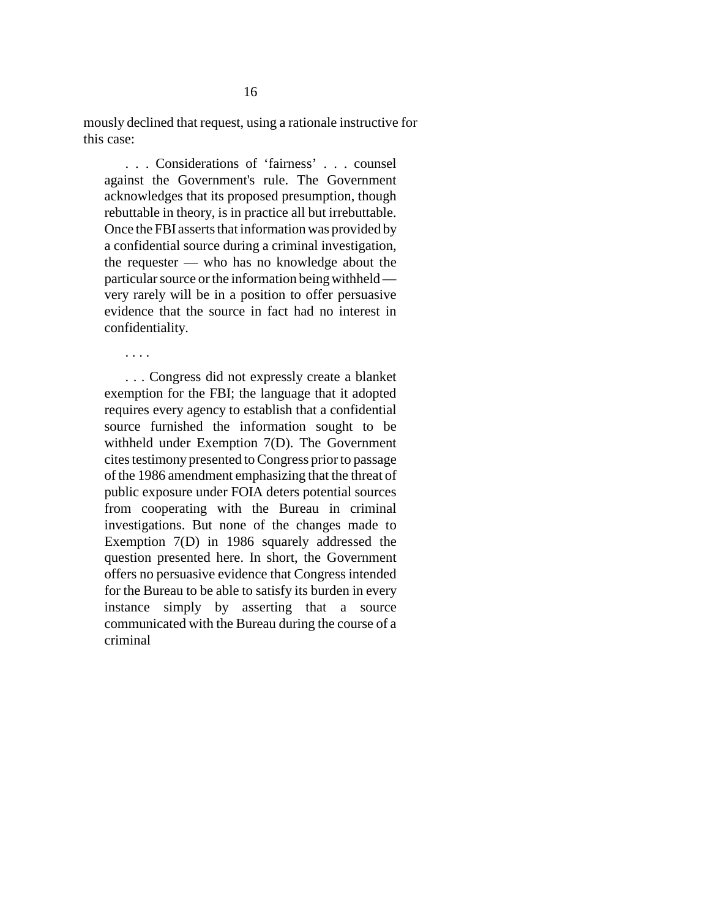mously declined that request, using a rationale instructive for this case:

. . . Considerations of 'fairness' . . . counsel against the Government's rule. The Government acknowledges that its proposed presumption, though rebuttable in theory, is in practice all but irrebuttable. Once the FBI asserts that information was provided by a confidential source during a criminal investigation, the requester — who has no knowledge about the particular source or the information being withheld very rarely will be in a position to offer persuasive evidence that the source in fact had no interest in confidentiality.

. . . .

. . . Congress did not expressly create a blanket exemption for the FBI; the language that it adopted requires every agency to establish that a confidential source furnished the information sought to be withheld under Exemption 7(D). The Government cites testimony presented to Congress prior to passage of the 1986 amendment emphasizing that the threat of public exposure under FOIA deters potential sources from cooperating with the Bureau in criminal investigations. But none of the changes made to Exemption 7(D) in 1986 squarely addressed the question presented here. In short, the Government offers no persuasive evidence that Congress intended for the Bureau to be able to satisfy its burden in every instance simply by asserting that a source communicated with the Bureau during the course of a criminal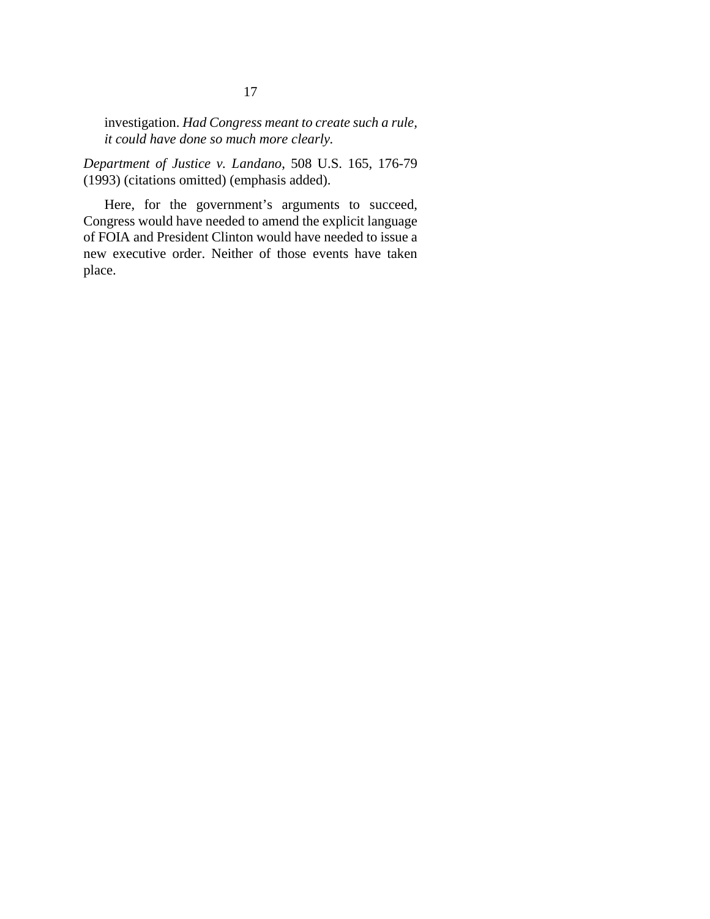investigation. *Had Congress meant to create such a rule, it could have done so much more clearly.*

*Department of Justice v. Landano*, 508 U.S. 165, 176-79 (1993) (citations omitted) (emphasis added).

Here, for the government's arguments to succeed, Congress would have needed to amend the explicit language of FOIA and President Clinton would have needed to issue a new executive order. Neither of those events have taken place.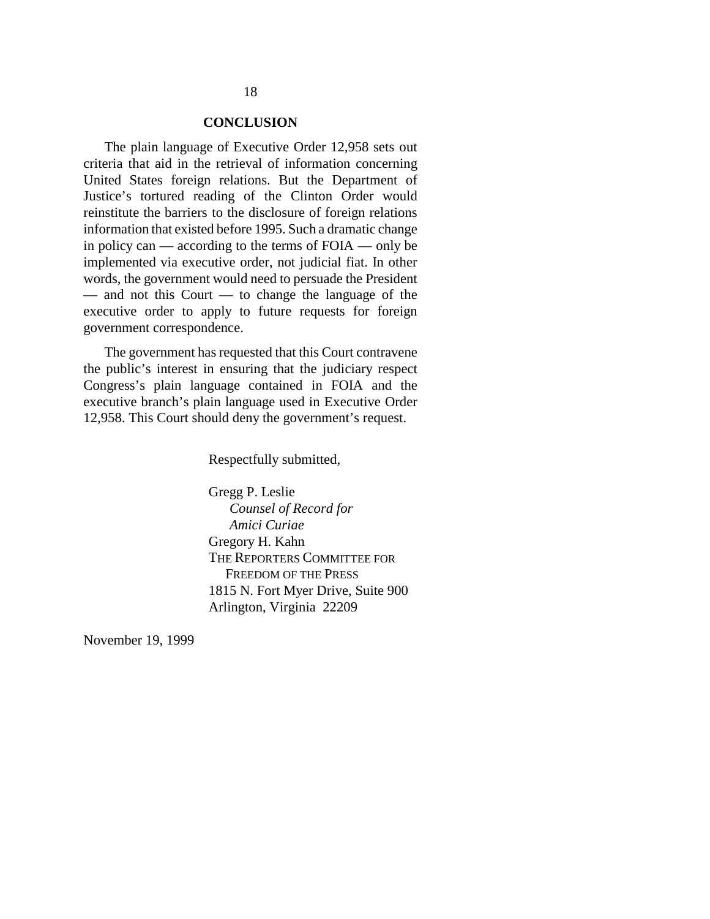### **CONCLUSION**

The plain language of Executive Order 12,958 sets out criteria that aid in the retrieval of information concerning United States foreign relations. But the Department of Justice's tortured reading of the Clinton Order would reinstitute the barriers to the disclosure of foreign relations information that existed before 1995. Such a dramatic change in policy can — according to the terms of FOIA — only be implemented via executive order, not judicial fiat. In other words, the government would need to persuade the President — and not this Court — to change the language of the executive order to apply to future requests for foreign government correspondence.

The government has requested that this Court contravene the public's interest in ensuring that the judiciary respect Congress's plain language contained in FOIA and the executive branch's plain language used in Executive Order 12,958. This Court should deny the government's request.

Respectfully submitted,

Gregg P. Leslie  *Counsel of Record for Amici Curiae* Gregory H. Kahn THE REPORTERS COMMITTEE FOR FREEDOM OF THE PRESS 1815 N. Fort Myer Drive, Suite 900 Arlington, Virginia 22209

November 19, 1999